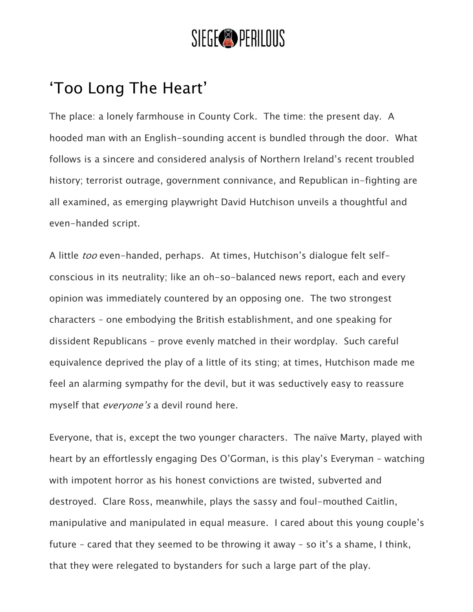## SIEGE<sup>®</sup>PERILOUS

## 'Too Long The Heart'

The place: a lonely farmhouse in County Cork. The time: the present day. A hooded man with an English-sounding accent is bundled through the door. What follows is a sincere and considered analysis of Northern Ireland's recent troubled history; terrorist outrage, government connivance, and Republican in-fighting are all examined, as emerging playwright David Hutchison unveils a thoughtful and even-handed script.

A little too even-handed, perhaps. At times, Hutchison's dialogue felt selfconscious in its neutrality; like an oh-so-balanced news report, each and every opinion was immediately countered by an opposing one. The two strongest characters – one embodying the British establishment, and one speaking for dissident Republicans – prove evenly matched in their wordplay. Such careful equivalence deprived the play of a little of its sting; at times, Hutchison made me feel an alarming sympathy for the devil, but it was seductively easy to reassure myself that *everyone's* a devil round here.

Everyone, that is, except the two younger characters. The naïve Marty, played with heart by an effortlessly engaging Des O'Gorman, is this play's Everyman – watching with impotent horror as his honest convictions are twisted, subverted and destroyed. Clare Ross, meanwhile, plays the sassy and foul-mouthed Caitlin, manipulative and manipulated in equal measure. I cared about this young couple's future – cared that they seemed to be throwing it away – so it's a shame, I think, that they were relegated to bystanders for such a large part of the play.